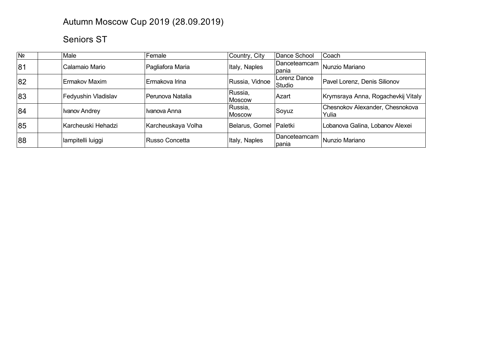## Autumn Moscow Cup 2019 (28.09.2019)

## Seniors ST

| N <sub>2</sub> | Male                 | Female             | Country, City          | Dance School           | <b>Coach</b>                             |
|----------------|----------------------|--------------------|------------------------|------------------------|------------------------------------------|
| 81             | Calamaio Mario       | Pagliafora Maria   | Italy, Naples          | Danceteamcam<br>pania  | Nunzio Mariano                           |
| 82             | Ermakov Maxim        | Ermakova Irina     | Russia, Vidnoe         | Lorenz Dance<br>Studio | Pavel Lorenz, Denis Silionov             |
| 83             | Fedyushin Vladislav  | Perunova Natalia   | Russia,<br>Moscow      | ∣Azart                 | Krymsraya Anna, Rogachevkij Vitaly       |
| 84             | <b>Ivanov Andrey</b> | Ivanova Anna       | Russia,<br>Moscow      | Soyuz                  | Chesnokov Alexander, Chesnokova<br>Yulia |
| 85             | Karcheuski Hehadzi   | Karcheuskaya Volha | Belarus, Gomel Paletki |                        | Lobanova Galina, Lobanov Alexei          |
| 88             | lampitelli luiggi    | Russo Concetta     | Italy, Naples          | Danceteamcam<br>pania  | Nunzio Mariano                           |